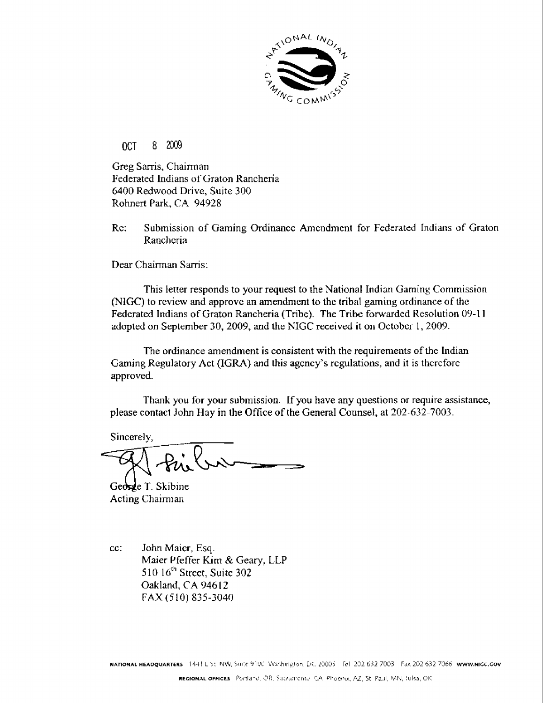

OCT 8 **2009** 

**Greg** Sanis, Chairman Federated Indians of Graton Rancheria *6400* Redwood **Drive, Suite** 300 Rohnert **Park, CA 94928** 

**Re:** Submission of Gaming Ordinance Amendment for Federated Indians **of Graton**  Rancheria

Dear Chairman **Sarris:** 

This **letter** responds to **your request** to the **National Indiar~** Gaming Corntnission (NLGC) to revicw and **approvc an** amendment **to** the **tribal gaming ordinance of** the **Federated Indians** of Graton **Rancheria** (Tribe). **The Tribe fowarded** Resolution *09-* 1 **<sup>1</sup> adopted** on **September** 30,2009, and **the** NlGC **received** it on Octobcr 1,2009.

The **ordinance** amendment is consistent with the **requirements** of the **Indian**  Gaming **Regulatory Act (IGRA)** and **this agency's regulations, and** it is therefore **approved.** 

Thank you for your submission. If you have any questions or require assistance, **please contact** John Hay in **the Office** of **the** General Counsel, **at** 202-632-7003.

**Sincerelv.** 

George T. Skibine **Acting Chairman** 

*cc:* John **Maier, Esq. Maier** Pfeffer ffim & **Geary,** LLP *5* 1111 1hth **Street, Suite** 302 Oaklancl, **CA 946** 12 **FAX** *(5* **10) 835-3040**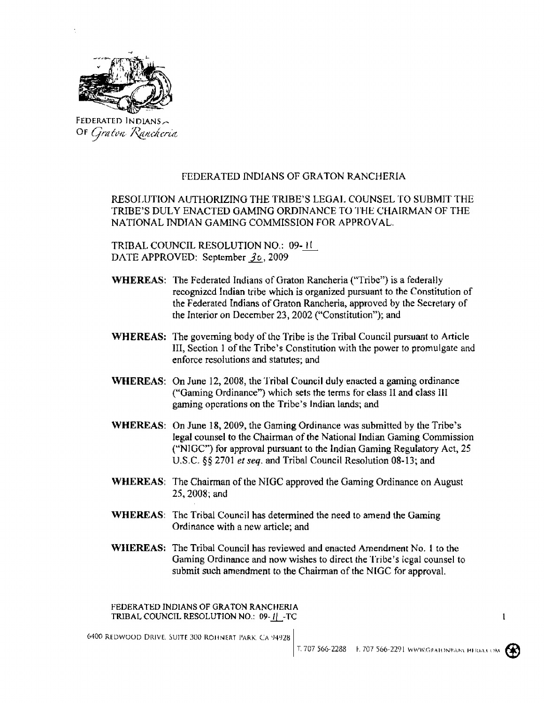

**FEDERATED 1** N **DlANS, OF** Graton Rancheria

# **FEDERATED INDIANS** OF **GRATON RANCHERlA**

RESOIIJTION **AUTHORIZING THE** TRIBE'S **LEGAI. COUNSEL** TO **SUBMIT** THE **TRIBE'S** DULY **ENACTED GAMING ORDNANCE** TO 'I'HE **CHAIRMAN** OF THE NATIONAL **INDIAN GAMING** COMMISSION **FOR APPROVAL.** 

**TRIBAL COUNCIL RESOLUTION NO.: 09-FU** DATE **APPROVED: September 30,2009** 

- **WHEREAS:** The **Federated Indians** of **Graton Rancheria** ("Tribe") is **a federal1 y recognized I tldian tribe which is organized pursuant to** the Constitution of the Federated Lndians of Graton **Rancheria, approved by** the **Secretary** of the Interior **on December** 23,2002 ("Constitution"); and
- **WHEREAS: The governing body** of thc **Tribe** is the Tribal Council **pursuant to Article**  111, **Section** 1 of **the** Tribe's Constitution with the power to promulgate and enforce resolutions and **statutes; and**
- **WHEREAS:** On June 12, 2008, the Tribal Council duly enacted a gaming ordinance ("Gaming Ordinance") **which sets the terms** for **class** I1 **and** class **<sup>111</sup> gaming operations on the Tribe's Indian lands;** and
- **WHEREAS:** On **June 18,2009,** the Gaming **Ordinance was submitted by the** Tribe's **legal counsel to the Chairman** of **the National** Indian **Gaming** Commission ("NlGC") **for approval pursuant** *to* the **Indian Gaming** Regulatory **Act, 25**  U.S **.C. 4 5** 270 1 *er* **seq. and** Tribal **Council** Resolution **08- 13; and**
- **WHEREAS:** The **Chairman of** the NIGC **approved the** Gaming Ordinance on **August 25,2008; and**
- **WHEREAS: The Tribal Council has determined the need** to **amend the** Gaming Ordinance **with** a **new article; and**
- **WHEREAS:** The **Tribal Council has reviewed and enacted Amendment** No. **I to the**  Gaming Ordinance **and now wishes to** direct **the 'l'ribe's Icgal** counsel **to**  submit **such amendment to the** Chairman of **the N IGC for approval.**

**FEDERATED INDIANS OF GRATON RANCCIERIA TRIBAL COUNCIL RESOLUTION NO.: 09-11 - TC** 

**6400 REDWOOD DRIVE. SUITE 300 ROHNERT PARK. CA 94928** 



 $\mathbf{1}$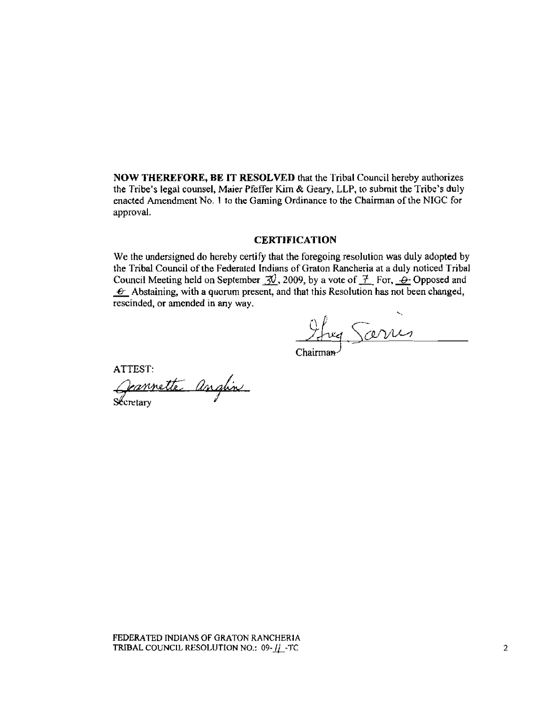**NOW THEREFORE, BE IT RESOLWD that** the 'I'ribal Council hereby **authorizes the Tribe's legal counsel, Maier Pfeffer** Kim & **Geary,** LLP, **to submit the** Tribe's **duly enacted Amendment** No. **1** to **the** Gaming **Ordinance to the Chairman of the NIGC** for **approval.** 

## **CERTIFICATION**

We the undersigned do hereby certify that the foregoing resolution was duly adopted by **the Tribal Council** of **the Federated Indians** of Graton **Rancheria at a duly** noticed **Tribal**  the Tribal Council of the Federated Indians of Graton Rancheria at a duly noticed Tribal Council Meeting held on September  $\frac{70}{2}$ , 2009, by a vote of  $\frac{7}{2}$  For,  $\frac{6}{2}$  Opposed and  $\frac{6}{2}$  Abstraining with a c We the undersigned do hereby certify that the foregoing resolution was duly adopted by<br>the Tribal Council of the Federated Indians of Graton Rancheria at a duly noticed Triba<br>Council Meeting held on September  $\frac{7}{10}$ ,

rescinded, or amended in any way.<br>  $\frac{\partial \mu_{\kappa}}{\partial \kappa_{\kappa}}$ 

ATTEST:<br>*Geannette anglin*<br>Secretary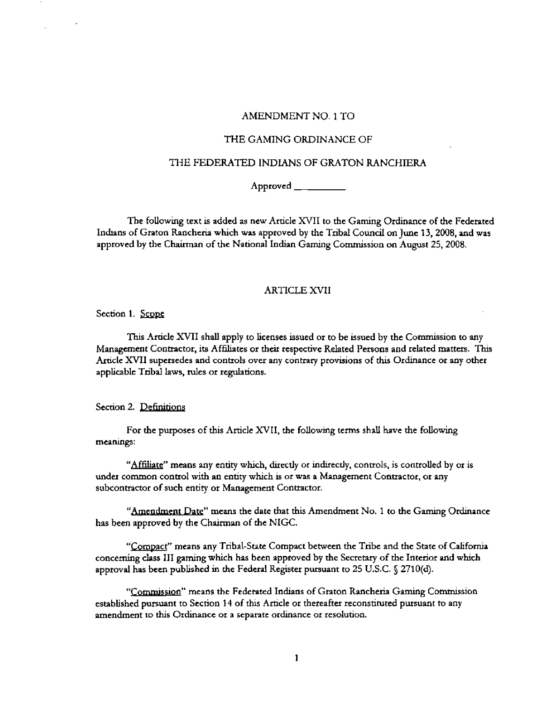#### **AMENDMENT** NO. 1 **TO**

### THE **GAMING** ORDINANCE OF

## THE **FEDERATED** INDUNS OF GRATON **RANCHIERA**

**Approved** 

**Tbe following text is added as new Article** XVTT **to the Gaming Ordinance of the Federated Incfians of Graton Rancheria which was approved by the Tribal** Cound **on** June **13,2008, uld was approved by the Chairman of the National Indian Gaming Commission on August 25,2008.** 

## ARTICLE **XVlI**

**Section 1.** 

Tb **Amde** XVII **shd apply to licenses issued or to be issued by the Commission to any Management Contractor,** its **Afhtes or theit respective Related Persons and related mattas.** Thrs Article XVII supersedes and controls over any contrary provisions of this Ordinance or any other **applicable Tzibal laws, rules** or **regulations.** 

Section 2. Definitions

**For the purposes of this Article XVII, the following terms shall have the following meanings:** 

**''~ffdhtg'' means any entity which, directly or indmctly, conrrols, is controUed** by **or is**  under common control with an entity which is or was a Management Contractor, or any **subcontractor of such entity or Management Conuactor.**  "Affiliate" means any entity which, directly<br>
"Affiliate" means any entity which is or v<br>
rractor of such entity or Management Contractor of such entity or Management Contractor<br>
"Amendment Date" means the date that the na

"Amendment Date" means the date that this Amendment No. 1 to the Gaming Ordinance **has been approved by the Chairman of the** NIGC.

**"Compact" means any Tribal-State Compact between the Tribe and the State of Cahfornia concerning class III gaming which hs been approved by the Secretary of the Interior and whch approval has been published in the Federal Register pursuant to** 225 **U.S.C. 5 2710(d).** 

"Commission" means the Federated Indians of Graton Rancheria Gaming Commission **established pursuant to Section 14 of h** Article **or thereafter reconstituted pursuant to any amendment to this Ordinance or** a **sepamtc ordinance or resolution.**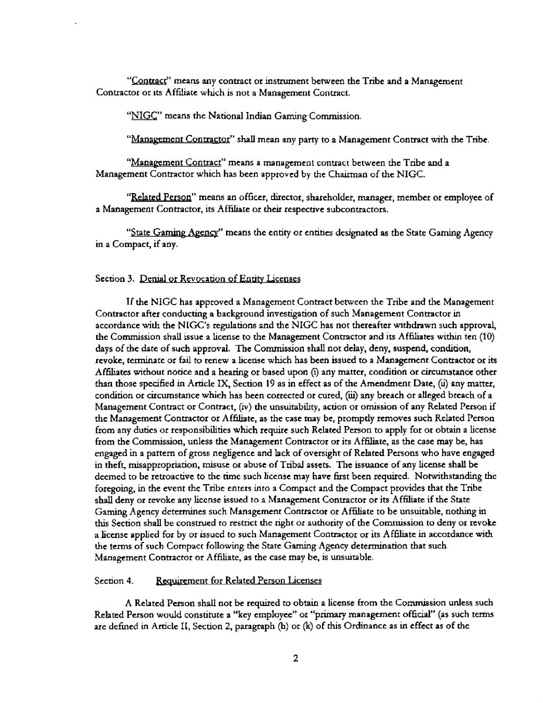**"QDUBC~' means any conuact or inswent between the Tribe** and **a Management Contractor or its Affiliate which is not** a **Management Contract.** 

"NIGC" means the National Indian Gaming Commission.

**"Manaeement Conmctor" shall** mean **any party to a Management Contract with the Tribe.** 

"Management Contract" means a management contract between the Tribe and a **Management** Contractor **which has been approved by the Chairman of the NIGC.** 

'Related Person'' means an officer, director, shareholder, manager, member or employee of a Management Contractor, its Affiliate or their respective subcontractors.

**State Gaming Agency**" means the entity or entities designated as the State Gaming Agency **in a Compact,** if **any.** 

#### Section 3. Denial or Revocation of Entity Licenses

**If the** NIGC **has approved a Management** Contract **between the Tribe and the Management Contractor after conducting a background investigation of such Management Contractor in accordance with the NICK'S regulations and the** NIGC **has not thereafter wthdrawn such approval, the** Commission **shall issue a license to the Management Conmctor and its Affiliates withm ten (10) days of the date of such approval. The** Commission **shall** not **delay, deny, suspcnd, condition, revoke, terminate or fail to renew** a **tcense which has been issued to a Managemcnt Contractor or** its **Afhtes without notice and a hearing or based upon** @ **my matter, condtion or circumstance other than those speci6ed in Article IX, Section 19 as in effect as of the Amendment Date,** (ii) **any** matts, condition **or circumstance which has been corrected or cured, (iG) any breach or alleged breach of <sup>a</sup> Management Contract or Contract, (iv) the unsuitability, action or omission of any Related Person if the Management Contractor or A ffilrate, as the case may be, prompdy removes such Related Person hm any duties or responsibihties which require such Related Person to apply** for **or obtain a license from the Commission, unless the Management Contractor or its Affite, as the case my be, has engaged** in **a pattern of gross negligence and lack of oversight of Related Persons who have engaged in theft, misappropriation, misusc or abuse of Tribal assets. The issuance of any license shad be deemed to be retroactive to the the such license may have** first **been** requited. **Notwithstanding the foregoing, in the event the** Tribe **enters into** a **Compact and the Compact provides that the Tribe shall deny or revoke any license bed to** a **Management Contractor or its Afhte if the State Gaming Agency determines such Management Contractor or Affiliate to be unsuitable, nothing in** this **Section shd be construed** to **restrict the right** or **authority of the Commission to deny or revoke a license applied for by or issued to such Managemcnt Conmctor or its AfWIsrte in accordance** with **the terms of such Compact following the State Gaming Agency determioation that such Management Contractor or Afhte, as the case may be, is unsuitable.** 

#### **Section 4. Requirement for Related Person Licenses**

**A Related Person shall not be required to obtain a license from the Commission unless such Related Person would constitute a "key employee" or** 'Cprimary **managtment official" (as such terms are defined in Article** 11, **Section 2, paragraph** @) **or** (k) **of this Ordinance as in effect as of the**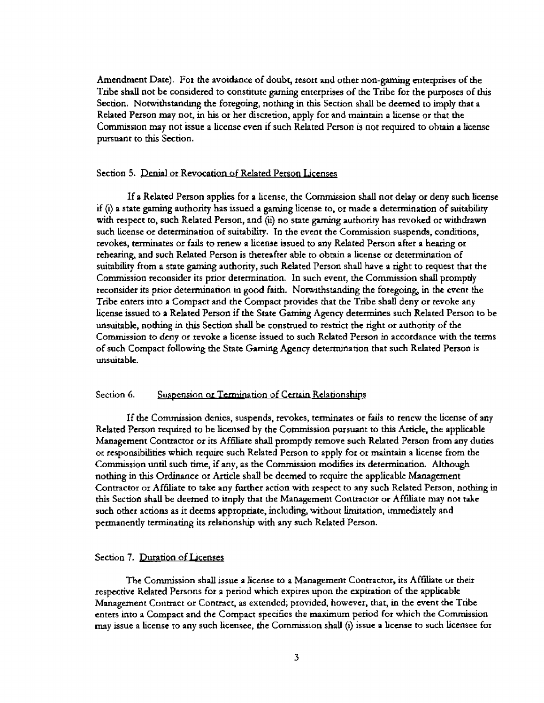**Amendment Date).** For the avoidance of doubt, resort and other non-gaming enterprises of the **'Sribe shall not be considered to constitute gaming enterprises of the** Tribe for **the purposes** of **this Section. Notwithstandmg the foregoing, nodung in this Section** shd **be deemed to imply that a Rehted Person may** not, **in his or** her **discretion, apply fox and maintain a license or that the Commission may** not **issue a license even if such Related Person is not required to** obtain **a license pursuant to this Section.**  Amendment Date). For the avoidance of doubt, resort and other non-gaming enterprises of the Tribe shall not be considered to constitute gaming enterprises of the Tribe for the purposes of this Section. Notwithstanding the

**If a Related Person applies** for **a license, the Commission shall not delay or deny such license**  if **(i) a state gaming authority has issued a gaming license to,** or **made a determination** of **suitability**  with **respect to, such Related Person, and** (ui **no state gaming authority has revoked or withdrawn such License or determimuon of suitability\*** In **the event the Commission suspends, conditions, revokes, &nates or fads to renew a license issued** to **any Related Person after a hearing or rehearing, and such Rehted** Person **is thereafter able to obtain a license or determination of suitabhty from a state gamtng authority, such Related Pcrson shall have a** right to **request that the Commission reconsider its prior determination. In such event, the Commission shall** promptly **reconsider its ptior determhatiofi in good faith. Notwithstanding the foregoing,** in **the event the Tribe tnttrs into a Compact and the Compact provides that the Tribe shall deny or revoke** anfly **license issued to a ReIated Person if the State** Gaming **Agency determines such Related Person to** be **unsuitable, nothing** in **dm Section shd be construed to res&ct the** right **or authority of the Commission to deny or revoke a license issued to such Related Person** in **accordance with the terms of such Compact foaowing the Smte Gaming Agency determination that such Related Person is unsuitable.** 

#### **Section 6.** Suspension or Termination of Certain Relationships

**If the Commission denies, suspends, revokes, terminates or fads ta renew the lidenst of any Related Person required to be licensed by the Commission pursuant to** h **Article, the applicable Management Contractor or its Afhhate shall promptly remove such Related Person** from **any duties or rcsponsibilitim which require such Related Person to apply for or maintain a license** from **the**  Commission until such time, if any, as the Commission modifies its determination. Although **nothrag in** &IS **Ordinaace or Artrde shall be deemed to** require **the applicable Management**  Contractor or Affiliate to take any further action with respect to any such Related Person, nothing in **this Section shall be deemed to imply that the Management Contractor or Affiliate may not take such other actions as** it **deems appropriate, including, without limitation,** immediately **and**  permanently terminating its relationship with any such Related Person.

## **Section 7.** Duration **of Lcenss**

**The Commission sbd issue a license to a Management Contractor, its Af6liatc or theit respective Related Persons** for **a** period which **expires upon the exptcation of the applicable Management Contract or** Contract, **as extended; provided, however, that, in** the **event the Tribe enters into a Compact and the Compact specifics the** maximum **period for which the Commission may issue** a **license ro any such licensee, the Commission shall (I) issue a license to such licensee for**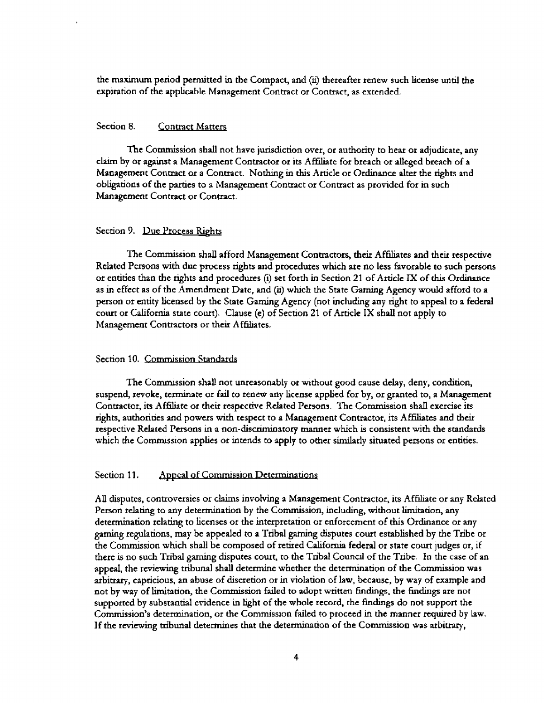**the maximum period permitted in the Compact,** and **(ii) thereafter renew such license** und **the expiration of the applicable Management Contract or Contract, as extended.** 

## **Section 8. Contract Matters**

**The Commission shall** not **have jurishction aver, or authority to hear or adjudicate, any ckun by or apmt a Management Contractor or its Afhliate for breach or alleged breach of a Management Conmct or a Conmct. Nohg in this Article or Ohance alter the rights and obhgations of the parties to a Management Contract or Conaact as provided for in such Managcment Contract or Contract.** 

#### **Section 9. Due Process Rights**

**The Commission** shd **afford Management Contractors, their Affites md their respective Related** Persons **with due process** rights **and procedures wtud! axe no less favorable to such persons or entities than he rights and procedures (I) set forth** in **Section 21 of Article IX of** &IS **Ordmance as in effect as of the Amendment Date, and (ii) whch the State Gaming Agency would afford to a person or entity licensed by tbe State** Gaming **Agency** (not **inclubg any right to appeal to a federal cow or Cahfornia state court). Clause (e) of Section 21 of hcle IX shall not apply to Management Contractors or their Af6hates.** 

#### **Section** 10. **Commission Standards**

**The Commission shall not unreasonably or without good cause delay, deny, condition,**  suspend, revoke, *terminate or fail to renew any license applied for by, or granted to, a Management* **Contractor, its Afaate or thek respec&c Related Persons. The Commission shall exercise its**  *qh~,* **authoriues md powers with respect to a h-emeat Contractor, its Afhltates and their respective Rclnted Persons** in **a non-discrlnioatory manner which is consistent with the standards**  which **the Commission applies or htends to apply to other** similarly **situated persons** or **entities.** 

## Section 11. Appeal of Commission Determinations

All disputes, controversies or claims involving a Management Contractor, its Affiliate or any Related **Person relating to any determination by the Commission, including, without hitation, any determination relating to licenses or the interpretation or enforcement of this Qrdmance or any gaming regulations, may** be **appealed to a Tribal gaming Qsputes court escabbhed** by **the Tribe or the Commission which shd be composed of retired California federal or state court judges** or, if **there is no such Tribal gaming disputes court, to the Tribal Cound of the Tribe. In the case of an appeal, the reviewing tribunal shall determine whether the detcrrnination of the Commission was arbitrary, capricious, an abuse of discretion or** in **violation of law, because, by way of example and not by way of** hitauon, **the Commission faded to adopt wdtten** hdings, **the finhgs are not supported by substanaal cridence in hght of the whole record, the fmdmgs do not support the Cammission's determination, or the Commissian failed to procttd in the manner required by law. If the reviewing tribunal determines that the detemzination of** the **Commission was arbitrary,**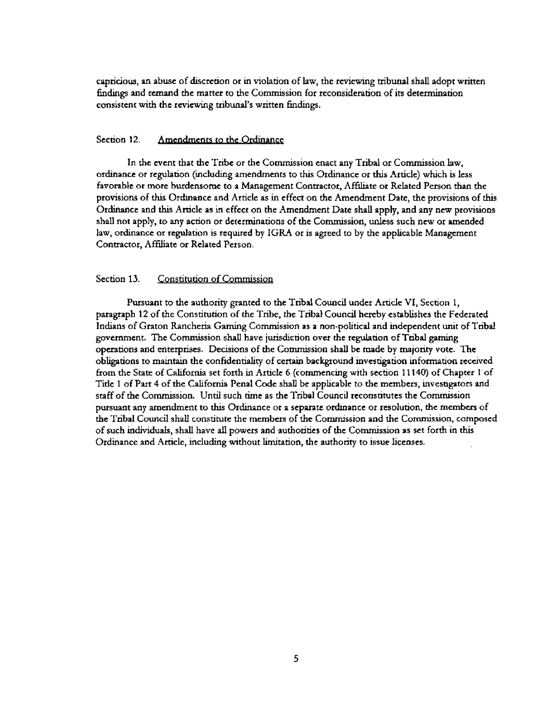**capricious, an abuse of dtscrttion or in** violation **of law, the reviewing tribunal shall adopt written hhgs 2nd remvld the matter to the Commission for reconsideration of its determination**  consistent with the reviewing tribunal's written findings.

#### **Section 12. Amendments to the Ordinance**

**In the event that thc** Tribe **or the Commission enact any Tribal or Commission law, ordmanct or regulation (includmg vnendmeots to** this **Ordinance or this Article) which is less favorable or more burdensome to a Management Contractor, Afhliate or Related Person than the provisions of dm Ordnance** and **Article as in effect on the** *Amendment* **Date, the provisions of thls Ordinance and dm Article as** in **effect on the Amendment Date shall apply, and any new provisions shall not apply, to any action or determinations of the Commission, unless such new or mended law, ordinance or rcgularion is required by** IGRA **or is agreed** to **by the applicable Management Contractor, Affiliate or Related Person.** 

## **Section** 13. **Constitution of Commission**

**Pursuant to the authority granted to the Tribal** Cound **under Article VI, Section** 1, **paragraph 12 of the Constitution of the Tribe, the Tribal** Cound **hereby establishes the Federated Indians of Gmton Rancheria Gaming** Commission **as a nun-political and independent unit of Tribal government. The Commission shall have** jurisdiction **over the regulation of Tribal gaming operations and enterprises. Decisions of the Commission shall be made by majority vote. The obbtions to maintain the confidentdity of certain background investigation information received from the State of Cddomia set** forth **in Article** *6* **(commencing with section 11 140) of Chapter 1 of Title** 1 **of Piu-t 4 of the California Penal Code shall be applicable to the members, invesngators and staff of the Commission.** Untd **such** *be* **as the Tribal Council reconstitutes the Commission**  pursuant any amendment to this Ordinance or a separate ordinance or resolution, the members of **the Tribal** Council **shd constitute the members of the Commission and the Commission, composed**  of **such** individuals, **shall have all powers and authorities of the Commission as set forth in** this **Ordinance** and **Article, indudmg without** hutation, **the authority to issue licenses.**